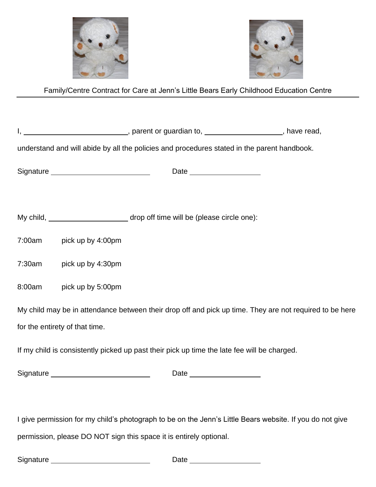



Family/Centre Contract for Care at Jenn's Little Bears Early Childhood Education Centre

|                                                                    | I, ________________________________, parent or guardian to, ____________________, have read,             |  |
|--------------------------------------------------------------------|----------------------------------------------------------------------------------------------------------|--|
|                                                                    | understand and will abide by all the policies and procedures stated in the parent handbook.              |  |
|                                                                    |                                                                                                          |  |
|                                                                    |                                                                                                          |  |
| 7:00am<br>pick up by 4:00pm                                        |                                                                                                          |  |
| 7:30am pick up by 4:30pm                                           |                                                                                                          |  |
| 8:00am pick up by 5:00pm                                           |                                                                                                          |  |
| for the entirety of that time.                                     | My child may be in attendance between their drop off and pick up time. They are not required to be here  |  |
|                                                                    | If my child is consistently picked up past their pick up time the late fee will be charged.              |  |
| Signature ____________________________                             |                                                                                                          |  |
|                                                                    |                                                                                                          |  |
|                                                                    | I give permission for my child's photograph to be on the Jenn's Little Bears website. If you do not give |  |
| permission, please DO NOT sign this space it is entirely optional. |                                                                                                          |  |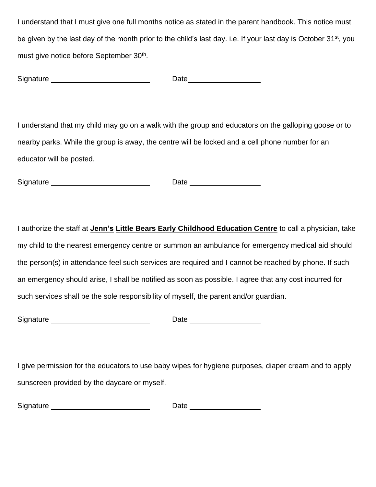I understand that I must give one full months notice as stated in the parent handbook. This notice must be given by the last day of the month prior to the child's last day. i.e. If your last day is October 31<sup>st</sup>, you must give notice before September 30<sup>th</sup>.

| Signature | Date |
|-----------|------|
|-----------|------|

I understand that my child may go on a walk with the group and educators on the galloping goose or to nearby parks. While the group is away, the centre will be locked and a cell phone number for an educator will be posted.

Signature extension of the Date of Date and Date and Date and Date and Date and Date and Date and Date and Date and Date and Date and Date and Date and Date and Date and Date and Date and Date and Date and Date and Date an

I authorize the staff at **Jenn's Little Bears Early Childhood Education Centre** to call a physician, take my child to the nearest emergency centre or summon an ambulance for emergency medical aid should the person(s) in attendance feel such services are required and I cannot be reached by phone. If such an emergency should arise, I shall be notified as soon as possible. I agree that any cost incurred for such services shall be the sole responsibility of myself, the parent and/or guardian.

Signature Date

I give permission for the educators to use baby wipes for hygiene purposes, diaper cream and to apply sunscreen provided by the daycare or myself.

| Signature | Date |
|-----------|------|
|-----------|------|